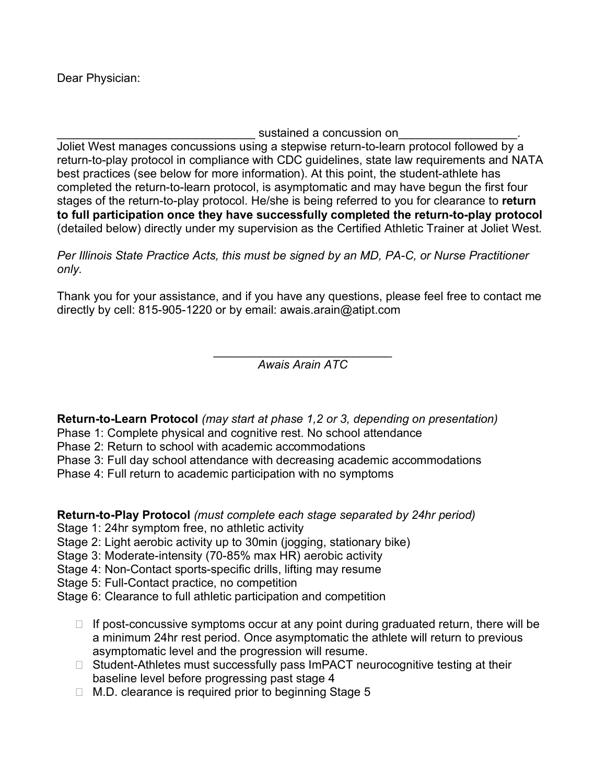Dear Physician:

sustained a concussion on

Joliet West manages concussions using a stepwise return-to-learn protocol followed by a return-to-play protocol in compliance with CDC guidelines, state law requirements and NATA best practices (see below for more information). At this point, the student-athlete has completed the return-to-learn protocol, is asymptomatic and may have begun the first four stages of the return-to-play protocol. He/she is being referred to you for clearance to **return to full participation once they have successfully completed the return-to-play protocol** (detailed below) directly under my supervision as the Certified Athletic Trainer at Joliet West.

*Per Illinois State Practice Acts, this must be signed by an MD, PA-C, or Nurse Practitioner only.* 

Thank you for your assistance, and if you have any questions, please feel free to contact me directly by cell: 815-905-1220 or by email: awais.arain@atipt.com

> \_\_\_\_\_\_\_\_\_\_\_\_\_\_\_\_\_\_\_\_\_\_\_\_\_\_\_ *Awais Arain ATC*

**Return-to-Learn Protocol** *(may start at phase 1,2 or 3, depending on presentation)*

- Phase 1: Complete physical and cognitive rest. No school attendance
- Phase 2: Return to school with academic accommodations
- Phase 3: Full day school attendance with decreasing academic accommodations
- Phase 4: Full return to academic participation with no symptoms

**Return-to-Play Protocol** *(must complete each stage separated by 24hr period)*

- Stage 1: 24hr symptom free, no athletic activity
- Stage 2: Light aerobic activity up to 30min (jogging, stationary bike)
- Stage 3: Moderate-intensity (70-85% max HR) aerobic activity
- Stage 4: Non-Contact sports-specific drills, lifting may resume
- Stage 5: Full-Contact practice, no competition
- Stage 6: Clearance to full athletic participation and competition
	- $\Box$  If post-concussive symptoms occur at any point during graduated return, there will be a minimum 24hr rest period. Once asymptomatic the athlete will return to previous asymptomatic level and the progression will resume.
	- $\Box$  Student-Athletes must successfully pass ImPACT neurocognitive testing at their baseline level before progressing past stage 4
	- $\Box$  M.D. clearance is required prior to beginning Stage 5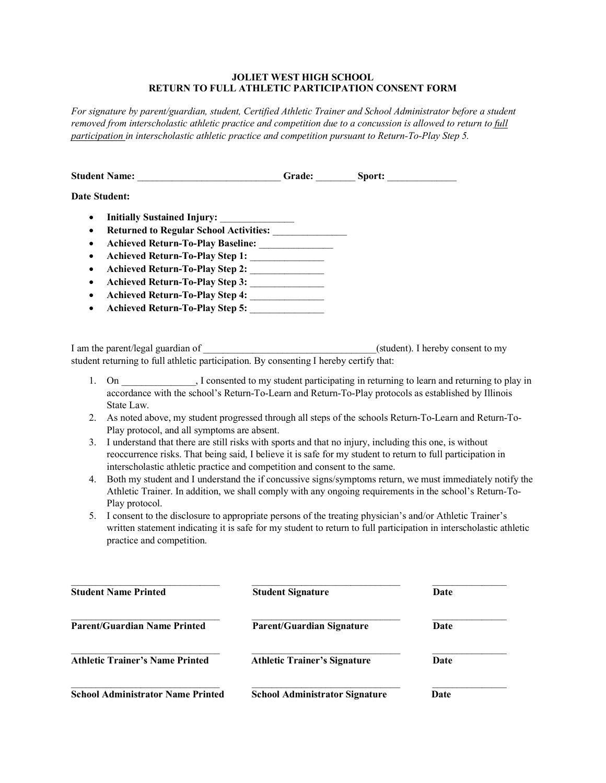## **JOLIET WEST HIGH SCHOOL RETURN TO FULL ATHLETIC PARTICIPATION CONSENT FORM**

*For signature by parent/guardian, student, Certified Athletic Trainer and School Administrator before a student removed from interscholastic athletic practice and competition due to a concussion is allowed to return to full participation in interscholastic athletic practice and competition pursuant to Return-To-Play Step 5.*

|                                                                                                      | Student Name: _____________________________Grade: _________Sport: ______________                                                                                                                                                                                                                    |                          |                                                                                                                                                                                                                                |  |  |
|------------------------------------------------------------------------------------------------------|-----------------------------------------------------------------------------------------------------------------------------------------------------------------------------------------------------------------------------------------------------------------------------------------------------|--------------------------|--------------------------------------------------------------------------------------------------------------------------------------------------------------------------------------------------------------------------------|--|--|
| <b>Date Student:</b>                                                                                 |                                                                                                                                                                                                                                                                                                     |                          |                                                                                                                                                                                                                                |  |  |
| $\bullet$<br>$\bullet$<br>$\bullet$<br>$\bullet$<br>$\bullet$<br>$\bullet$<br>$\bullet$<br>$\bullet$ | Achieved Return-To-Play Step 1:<br>Achieved Return-To-Play Step 2:<br>Achieved Return-To-Play Step 3:<br>Achieved Return-To-Play Step 4: ________________<br>Achieved Return-To-Play Step 5:                                                                                                        |                          |                                                                                                                                                                                                                                |  |  |
|                                                                                                      | I am the parent/legal guardian of<br>student returning to full athletic participation. By consenting I hereby certify that:                                                                                                                                                                         |                          | (student). I hereby consent to my                                                                                                                                                                                              |  |  |
| 1.                                                                                                   | On 1.1 . I consented to my student participating in returning to learn and returning to play in<br>accordance with the school's Return-To-Learn and Return-To-Play protocols as established by Illinois<br>State Law.                                                                               |                          |                                                                                                                                                                                                                                |  |  |
| 2.                                                                                                   | Play protocol, and all symptoms are absent.                                                                                                                                                                                                                                                         |                          | As noted above, my student progressed through all steps of the schools Return-To-Learn and Return-To-                                                                                                                          |  |  |
| 3.                                                                                                   | I understand that there are still risks with sports and that no injury, including this one, is without<br>reoccurrence risks. That being said, I believe it is safe for my student to return to full participation in<br>interscholastic athletic practice and competition and consent to the same. |                          |                                                                                                                                                                                                                                |  |  |
| 4.                                                                                                   | Both my student and I understand the if concussive signs/symptoms return, we must immediately notify the<br>Athletic Trainer. In addition, we shall comply with any ongoing requirements in the school's Return-To-<br>Play protocol.                                                               |                          |                                                                                                                                                                                                                                |  |  |
| 5.                                                                                                   | practice and competition.                                                                                                                                                                                                                                                                           |                          | I consent to the disclosure to appropriate persons of the treating physician's and/or Athletic Trainer's<br>written statement indicating it is safe for my student to return to full participation in interscholastic athletic |  |  |
|                                                                                                      | <b>Student Name Printed</b>                                                                                                                                                                                                                                                                         | <b>Student Signature</b> | Date                                                                                                                                                                                                                           |  |  |

| <b>Parent/Guardian Name Printed</b>      | <b>Parent/Guardian Signature</b>      | Date<br>Date |
|------------------------------------------|---------------------------------------|--------------|
| <b>Athletic Trainer's Name Printed</b>   | <b>Athletic Trainer's Signature</b>   |              |
| <b>School Administrator Name Printed</b> | <b>School Administrator Signature</b> | Date         |